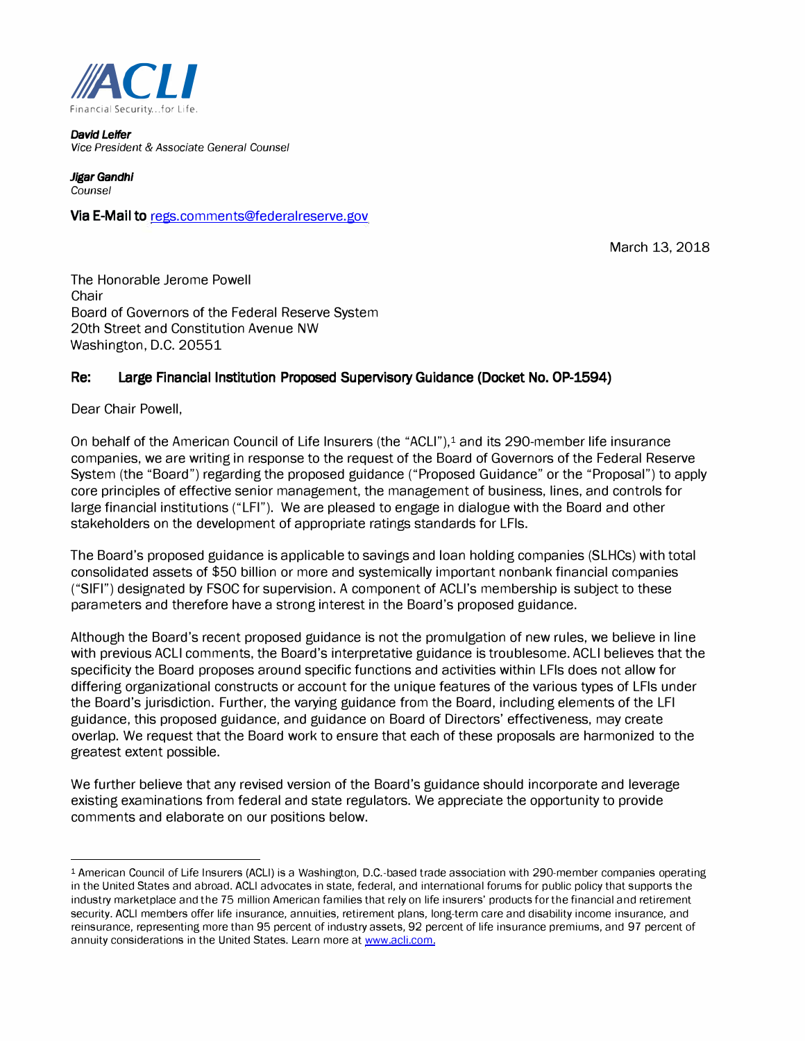

*David Leifer Vice President* & *Associate General Counsel* 

*Jigar Gandhi Counsel* 

**Via E-Mail to** regs.comments@federalreserve.gov

March 13, 2018

The Honorable Jerome Powell Chair Board of Governors of the Federal Reserve System 20th Street and Constitution Avenue NW Washington, D.C. 20551

## **Re: Large Financial Institution Proposed Supervisory Guidance (Docket No. OP-1594)**

Dear Chair Powell,

On behalf of the American Council of Life Insurers (the "ACLI"),<sup>1</sup> and its 290-member life insurance companies, we are writing in response to the request of the Board of Governors of the Federal Reserve System (the "Board") regarding the proposed guidance ("Proposed Guidance" or the "Proposal") to apply core principles of effective senior management, the management of business, lines, and controls for large financial institutions ("LFI"). We are pleased to engage in dialogue with the Board and other stakeholders on the development of appropriate ratings standards for LFls.

The Board's proposed guidance is applicable to savings and loan holding companies (SLHCs) with total consolidated assets of \$50 billion or more and systemically important non bank financial companies ("SIFI") designated by FSOC for supervision. A component of ACLl's membership is subject to these parameters and therefore have a strong interest in the Board's proposed guidance.

Although the Board's recent proposed guidance is not the promulgation of new rules, we believe in line with previous ACLI comments, the Board's interpretative guidance is troublesome. ACLI believes that the specificity the Board proposes around specific functions and activities within LFls does not allow for differing organizational constructs or account for the unique features of the various types of LFls under the Board's jurisdiction. Further, the varying guidance from the Board, including elements of the LFI guidance, this proposed guidance, and guidance on Board of Directors' effectiveness, may create overlap. We request that the Board work to ensure that each of these proposals are harmonized to the greatest extent possible.

We further believe that any revised version of the Board's guidance should incorporate and leverage existing examinations from federal and state regulators. We appreciate the opportunity to provide comments and elaborate on our positions below.

<sup>1</sup> American Council of Life Insurers (ACLI) is *a* Washington, D.C.-based trade association with 290-member companies operating in the United States and abroad. ACLI advocates in state, federal, and international forums for public policy that supports the industry marketplace and the 75 million American families that rely on life insurers' products for the financial and retirement security. ACLI members offer life insurance, annuities, retirement plans, long-term care and disability income insurance, and reinsurance, representing more than 95 percent of industry assets, 92 percent of life insurance premiums, and 97 percent of annuity considerations in the United States. Learn more *at* www.acli.com.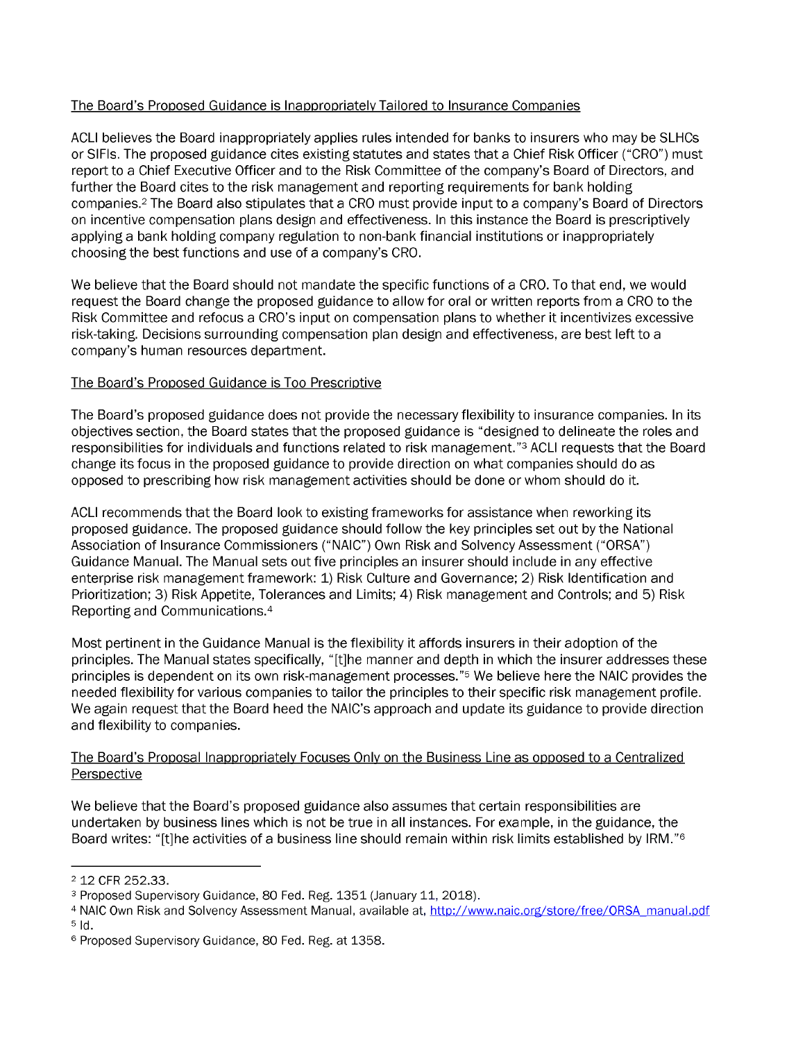# *The Board's Proposed Guidance is Inappropriately Tailored to Insurance Companies*

*ACLI believes the Board inappropriately applies rules intended for banks to insurers who may be SLHCs* or SIFIs. The proposed guidance cites existing statutes and states that a Chief Risk Officer ("CRO") must report to a Chief Executive Officer and to the Risk Committee of the company's Board of Directors, and *further the Board cites to the risk management and reporting requirements for bank holding* companies.<sup>2</sup> The Board also stipulates that a CRO must provide input to a company's Board of Directors *on incentive compensation plans design and effectiveness. In this instance the Board is prescriptively applying a bank holding company regulation to non-bank financial institutions or inappropriately choosing the best functions and use of a company's CRO.*

We believe that the Board should not mandate the specific functions of a CRO. To that end, we would request the Board change the proposed guidance to allow for oral or written reports from a CRO to the *Risk Committee and refocus a CRO's input on compensation plans to whether it incentivizes excessive risk-taking. Decisions surrounding compensation plan design and effectiveness, are best left to a company's human resources department.*

## *The Board's Proposed Guidance is Too Prescriptive*

*The Board's proposed guidance does not provide the necessary flexibility to insurance companies. In its objectives section, the Board states that the proposed guidance is "designed to delineate the roles and* responsibilities for individuals and functions related to risk management."<sup>3</sup> ACLI requests that the Board *change its focus in the proposed guidance to provide direction on what companies should do as opposed to prescribing how risk management activities should be done or whom should do it.*

*ACLI recommends that the Board look to existing frameworks for assistance when reworking its proposed guidance. The proposed guidance should follow the key principles set out by the National Association of Insurance Commissioners ("NAIC") Own Risk and Solvency Assessment ("ORSA") Guidance Manual. The Manual sets out five principles an insurer should include in any effective enterprise risk management framework: 1) Risk Culture and Governance; 2) Risk Identification and Prioritization; 3) Risk Appetite, Tolerances and Limits; 4) Risk management and Controls; and 5) Risk Reporting and Communications.<sup>4</sup>*

*Most pertinent in the Guidance Manual is the flexibility it affords insurers in their adoption of the principles. The Manual states specifically, "[t]he manner and depth in which the insurer addresses these* principles is dependent on its own risk-management processes."<sup>5</sup> We believe here the NAIC provides the *needed flexibility for various companies to tailor the principles to their specific risk management profile.* We again request that the Board heed the NAIC's approach and update its guidance to provide direction *and flexibility to companies.*

## *The Board's Proposal Inappropriately Focuses Only on the Business Line as opposed to a Centralized Perspective*

*We believe that the Board's proposed guidance also assumes that certain responsibilities are* undertaken by business lines which is not be true in all instances. For example, in the guidance, the Board writes: "[t]he activities of a business line should remain within risk limits established by IRM."<sup>6</sup>

*<sup>2</sup> 12 CFR 252.33.*

*<sup>3</sup> Proposed Supervisory Guidance, 80 Fed. Reg. 1351 (January 11, 2018).*

*<sup>4</sup> NAIC Own Risk and Solvency Assessment Manual, available at, http://www.naic.org/store/free/ORSA\_manual.pdf <sup>5</sup> Id.*

*<sup>6</sup> Proposed Supervisory Guidance, 80 Fed. Reg. at 1358.*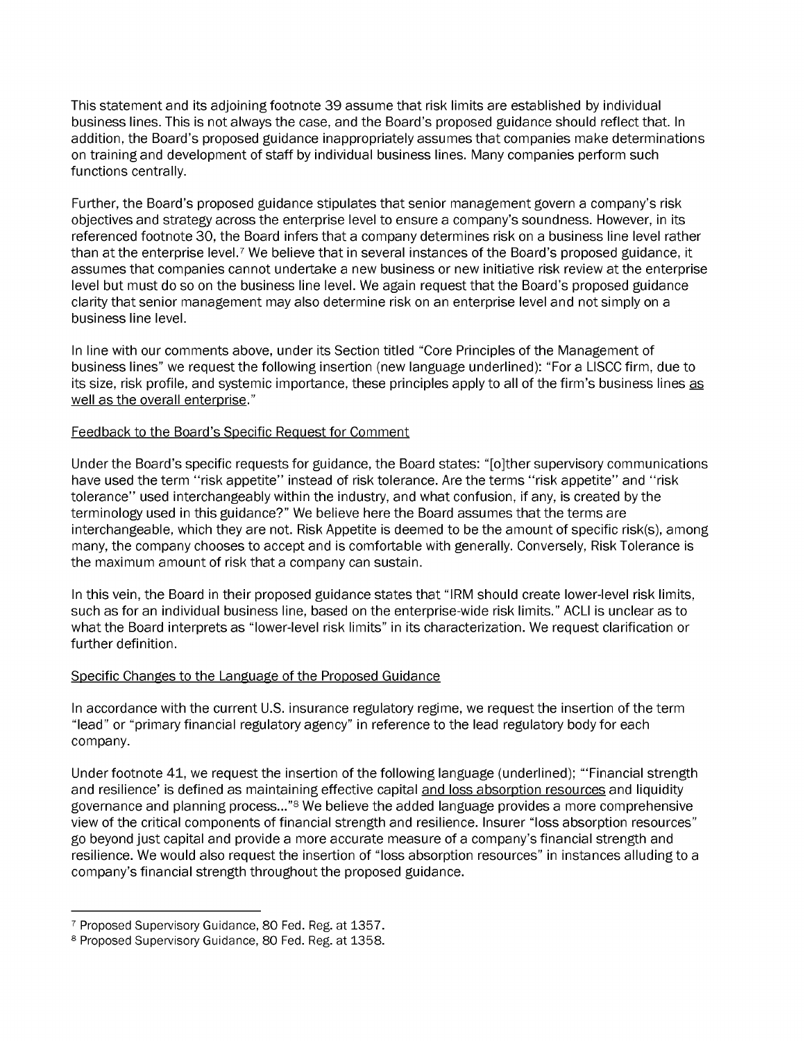*This statement and its adjoining footnote 39 assume that risk limits are established by individual* business lines. This is not always the case, and the Board's proposed guidance should reflect that. In *addition, the Board's proposed guidance inappropriately assumes that companies make determinations on training and development of staff by individual business lines. Many companies perform such functions centrally.*

*Further, the Board's proposed guidance stipulates that senior management govern a company's risk objectives and strategy across the enterprise level to ensure a company's soundness. However, in its referenced footnote 30, the Board infers that a company determines risk on a business line level rather* than at the enterprise level.7 We believe that in several instances of the Board's proposed guidance, it *assumes that companies cannot undertake a new business or new initiative risk review at the enterprise* level but must do so on the business line level. We again request that the Board's proposed guidance *clarity that senior management may also determine risk on an enterprise level and not simply on a business line level.*

*In line with our comments above, under its Section titled "Core Principles of the Management of business lines" we request the following insertion (new language underlined): "For a LISCC firm, due to* its size, risk profile, and systemic importance, these principles apply to all of the firm's business lines as *well as the overall enterprise."*

#### *Feedback to the Board's Specific Request for Comment*

Under the Board's specific requests for guidance, the Board states: "[o]ther supervisory communications have used the term "risk appetite" instead of risk tolerance. Are the terms "risk appetite" and "risk *tolerance" used interchangeably within the industry, and what confusion, if any, is created by the terminology used in this guidance?" We believe here the Board assumes that the terms are interchangeable, which they are not. Risk Appetite is deemed to be the amount of specific risk(s), among many, the company chooses to accept and is comfortable with generally. Conversely, Risk Tolerance is the maximum amount of risk that a company can sustain.*

In this vein, the Board in their proposed guidance states that "IRM should create lower-level risk limits, such as for an individual business line, based on the enterprise-wide risk limits." ACLI is unclear as to *what the Board interprets as "lower-level risk limits" in its characterization. We request clarification or further definition.*

#### *Specific Changes to the Language of the Proposed Guidance*

*In accordance with the current U.S. insurance regulatory regime, we request the insertion of the term "lead" or "primary financial regulatory agency" in reference to the lead regulatory body for each company.*

*Under footnote 41, we request the insertion of the following language (underlined); '"Financial strength and resilience' is defined as maintaining effective capital and loss absorption resources and liquidity governance and planning process..."<sup>8</sup> We believe the added language provides a more comprehensive view of the critical components of financial strength and resilience. Insurer "loss absorption resources" go beyond just capital and provide a more accurate measure of a company's financial strength and resilience. We would also request the insertion of "loss absorption resources" in instances alluding to a company's financial strength throughout the proposed guidance.*

*<sup>7</sup> Proposed Supervisory Guidance, 80 Fed. Reg. at 1357.*

*<sup>8</sup> Proposed Supervisory Guidance, 80 Fed. Reg. at 1358.*